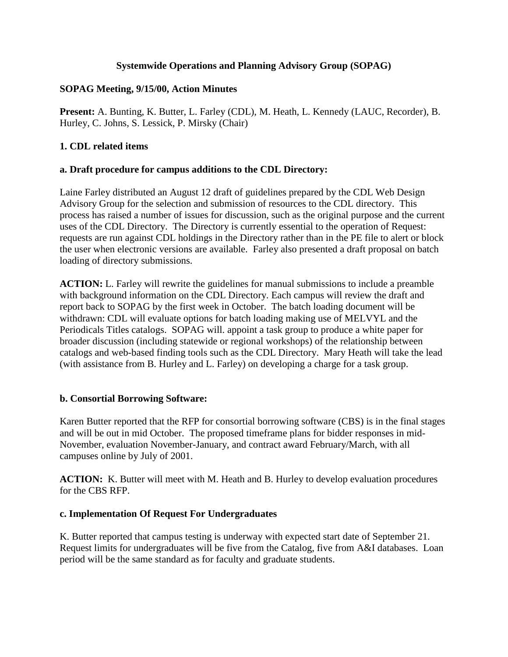### **Systemwide Operations and Planning Advisory Group (SOPAG)**

#### **SOPAG Meeting, 9/15/00, Action Minutes**

**Present:** A. Bunting, K. Butter, L. Farley (CDL), M. Heath, L. Kennedy (LAUC, Recorder), B. Hurley, C. Johns, S. Lessick, P. Mirsky (Chair)

### **1. CDL related items**

#### **a. Draft procedure for campus additions to the CDL Directory:**

Laine Farley distributed an August 12 draft of guidelines prepared by the CDL Web Design Advisory Group for the selection and submission of resources to the CDL directory. This process has raised a number of issues for discussion, such as the original purpose and the current uses of the CDL Directory. The Directory is currently essential to the operation of Request: requests are run against CDL holdings in the Directory rather than in the PE file to alert or block the user when electronic versions are available. Farley also presented a draft proposal on batch loading of directory submissions.

**ACTION:** L. Farley will rewrite the guidelines for manual submissions to include a preamble with background information on the CDL Directory. Each campus will review the draft and report back to SOPAG by the first week in October. The batch loading document will be withdrawn: CDL will evaluate options for batch loading making use of MELVYL and the Periodicals Titles catalogs. SOPAG will. appoint a task group to produce a white paper for broader discussion (including statewide or regional workshops) of the relationship between catalogs and web-based finding tools such as the CDL Directory. Mary Heath will take the lead (with assistance from B. Hurley and L. Farley) on developing a charge for a task group.

#### **b. Consortial Borrowing Software:**

Karen Butter reported that the RFP for consortial borrowing software (CBS) is in the final stages and will be out in mid October. The proposed timeframe plans for bidder responses in mid-November, evaluation November-January, and contract award February/March, with all campuses online by July of 2001.

**ACTION:** K. Butter will meet with M. Heath and B. Hurley to develop evaluation procedures for the CBS RFP.

#### **c. Implementation Of Request For Undergraduates**

K. Butter reported that campus testing is underway with expected start date of September 21. Request limits for undergraduates will be five from the Catalog, five from A&I databases. Loan period will be the same standard as for faculty and graduate students.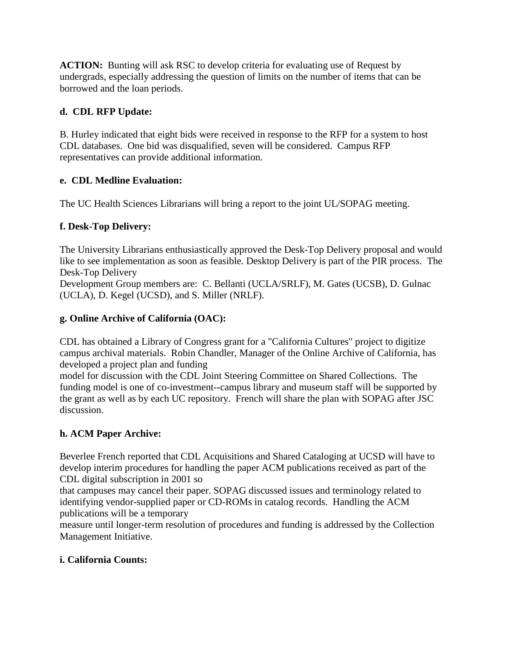**ACTION:** Bunting will ask RSC to develop criteria for evaluating use of Request by undergrads, especially addressing the question of limits on the number of items that can be borrowed and the loan periods.

## **d. CDL RFP Update:**

B. Hurley indicated that eight bids were received in response to the RFP for a system to host CDL databases. One bid was disqualified, seven will be considered. Campus RFP representatives can provide additional information.

## **e. CDL Medline Evaluation:**

The UC Health Sciences Librarians will bring a report to the joint UL/SOPAG meeting.

## **f. Desk-Top Delivery:**

The University Librarians enthusiastically approved the Desk-Top Delivery proposal and would like to see implementation as soon as feasible. Desktop Delivery is part of the PIR process. The Desk-Top Delivery

Development Group members are: C. Bellanti (UCLA/SRLF), M. Gates (UCSB), D. Gulnac (UCLA), D. Kegel (UCSD), and S. Miller (NRLF).

## **g. Online Archive of California (OAC):**

CDL has obtained a Library of Congress grant for a "California Cultures" project to digitize campus archival materials. Robin Chandler, Manager of the Online Archive of California, has developed a project plan and funding

model for discussion with the CDL Joint Steering Committee on Shared Collections. The funding model is one of co-investment--campus library and museum staff will be supported by the grant as well as by each UC repository. French will share the plan with SOPAG after JSC discussion.

# **h. ACM Paper Archive:**

Beverlee French reported that CDL Acquisitions and Shared Cataloging at UCSD will have to develop interim procedures for handling the paper ACM publications received as part of the CDL digital subscription in 2001 so

that campuses may cancel their paper. SOPAG discussed issues and terminology related to identifying vendor-supplied paper or CD-ROMs in catalog records. Handling the ACM publications will be a temporary

measure until longer-term resolution of procedures and funding is addressed by the Collection Management Initiative.

## **i. California Counts:**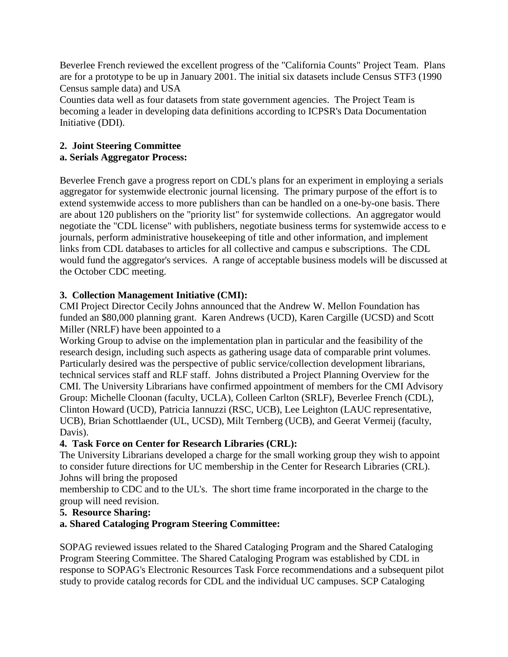Beverlee French reviewed the excellent progress of the "California Counts" Project Team. Plans are for a prototype to be up in January 2001. The initial six datasets include Census STF3 (1990 Census sample data) and USA

Counties data well as four datasets from state government agencies. The Project Team is becoming a leader in developing data definitions according to ICPSR's Data Documentation Initiative (DDI).

# **2. Joint Steering Committee**

## **a. Serials Aggregator Process:**

Beverlee French gave a progress report on CDL's plans for an experiment in employing a serials aggregator for systemwide electronic journal licensing. The primary purpose of the effort is to extend systemwide access to more publishers than can be handled on a one-by-one basis. There are about 120 publishers on the "priority list" for systemwide collections. An aggregator would negotiate the "CDL license" with publishers, negotiate business terms for systemwide access to e journals, perform administrative housekeeping of title and other information, and implement links from CDL databases to articles for all collective and campus e subscriptions. The CDL would fund the aggregator's services. A range of acceptable business models will be discussed at the October CDC meeting.

## **3. Collection Management Initiative (CMI):**

CMI Project Director Cecily Johns announced that the Andrew W. Mellon Foundation has funded an \$80,000 planning grant. Karen Andrews (UCD), Karen Cargille (UCSD) and Scott Miller (NRLF) have been appointed to a

Working Group to advise on the implementation plan in particular and the feasibility of the research design, including such aspects as gathering usage data of comparable print volumes. Particularly desired was the perspective of public service/collection development librarians, technical services staff and RLF staff. Johns distributed a Project Planning Overview for the CMI. The University Librarians have confirmed appointment of members for the CMI Advisory Group: Michelle Cloonan (faculty, UCLA), Colleen Carlton (SRLF), Beverlee French (CDL), Clinton Howard (UCD), Patricia Iannuzzi (RSC, UCB), Lee Leighton (LAUC representative, UCB), Brian Schottlaender (UL, UCSD), Milt Ternberg (UCB), and Geerat Vermeij (faculty, Davis).

## **4. Task Force on Center for Research Libraries (CRL):**

The University Librarians developed a charge for the small working group they wish to appoint to consider future directions for UC membership in the Center for Research Libraries (CRL). Johns will bring the proposed

membership to CDC and to the UL's. The short time frame incorporated in the charge to the group will need revision.

# **5. Resource Sharing:**

# **a. Shared Cataloging Program Steering Committee:**

SOPAG reviewed issues related to the Shared Cataloging Program and the Shared Cataloging Program Steering Committee. The Shared Cataloging Program was established by CDL in response to SOPAG's Electronic Resources Task Force recommendations and a subsequent pilot study to provide catalog records for CDL and the individual UC campuses. SCP Cataloging